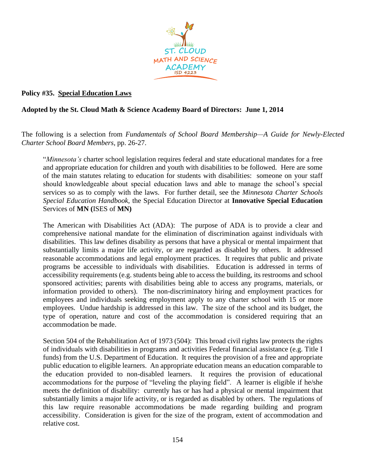

## **Policy #35. Special Education Laws**

## **Adopted by the St. Cloud Math & Science Academy Board of Directors: June 1, 2014**

The following is a selection from *Fundamentals of School Board Membership—A Guide for Newly-Elected Charter School Board Members*, pp. 26-27.

"*Minnesota's* charter school legislation requires federal and state educational mandates for a free and appropriate education for children and youth with disabilities to be followed. Here are some of the main statutes relating to education for students with disabilities: someone on your staff should knowledgeable about special education laws and able to manage the school's special services so as to comply with the laws. For further detail, see the *Minnesota Charter Schools Special Education Handbook*, the Special Education Director at **Innovative Special Education** Services of **MN (**ISES of **MN)**

The American with Disabilities Act (ADA): The purpose of ADA is to provide a clear and comprehensive national mandate for the elimination of discrimination against individuals with disabilities. This law defines disability as persons that have a physical or mental impairment that substantially limits a major life activity, or are regarded as disabled by others. It addressed reasonable accommodations and legal employment practices. It requires that public and private programs be accessible to individuals with disabilities. Education is addressed in terms of accessibility requirements (e.g. students being able to access the building, its restrooms and school sponsored activities; parents with disabilities being able to access any programs, materials, or information provided to others). The non-discriminatory hiring and employment practices for employees and individuals seeking employment apply to any charter school with 15 or more employees. Undue hardship is addressed in this law. The size of the school and its budget, the type of operation, nature and cost of the accommodation is considered requiring that an accommodation be made.

Section 504 of the Rehabilitation Act of 1973 (504): This broad civil rights law protects the rights of individuals with disabilities in programs and activities Federal financial assistance (e.g. Title I funds) from the U.S. Department of Education. It requires the provision of a free and appropriate public education to eligible learners. An appropriate education means an education comparable to the education provided to non-disabled learners. It requires the provision of educational accommodations for the purpose of "leveling the playing field". A learner is eligible if he/she meets the definition of disability: currently has or has had a physical or mental impairment that substantially limits a major life activity, or is regarded as disabled by others. The regulations of this law require reasonable accommodations be made regarding building and program accessibility. Consideration is given for the size of the program, extent of accommodation and relative cost.